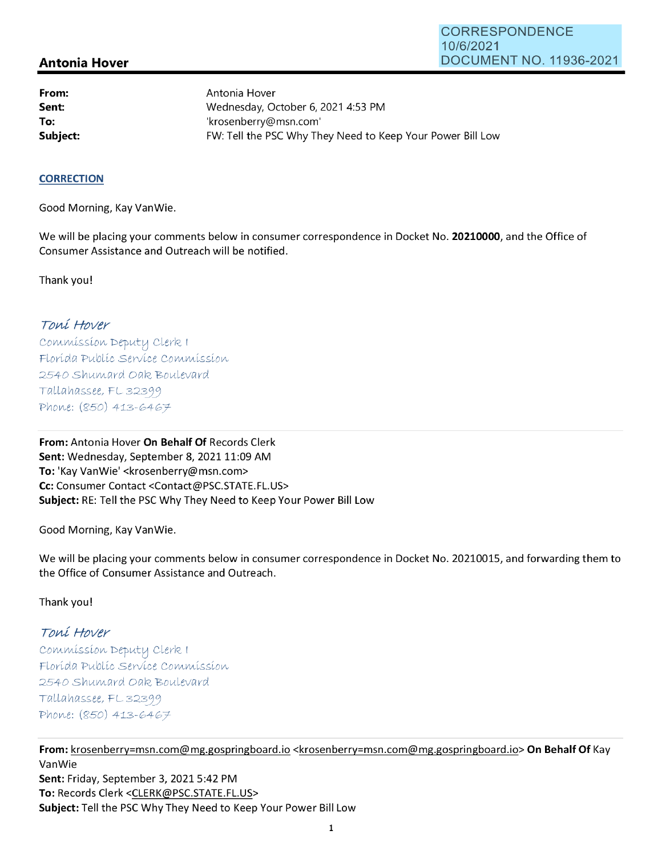# **Antonia Hover**

**From: Sent: To:** 

Antonia Hover Wednesday, October 6, 2021 4:53 PM 'krosenberry@msn.com' **Subject: EXALG:** FW: Tell the PSC Why They Need to Keep Your Power Bill Low

#### **CORRECTION**

Good Morning, Kay Vanwie.

We will be placing your comments below in consumer correspondence in Docket No. **20210000,** and the Office of Consumer Assistance and Outreach will be notified.

Thank you!

### Toní Hover

Commission Deputy Clerk 1 Florída Publíc Service Commission 2540 Shumard Oak Boulevard  $Tallahasse, FL 32399$ Phone: (850) 413-6467

**From:** Antonia Hover **On Behalf Of** Records Clerk Sent: Wednesday, September 8, 2021 11:09 AM **To:** 'Kay Vanwie' <krosenberry@msn.com> **Cc:** Consumer Contact <Contact@PSC.STATE.FL.US> **Subject:** RE: Tell the PSC Why They Need to Keep Your Power Bill Low

Good Morning, Kay Vanwie.

We will be placing your comments below in consumer correspondence in Docket No. 20210015, and forwarding them to the Office of Consumer Assistance and Outreach.

Thank you!

## Toní Hover

 $Commission$  Deputy Clerk I Florída Publíc Servíce Commission 2540 Shumard Oak Boulevard  $Tallahasse, FL 32399$ Phone: (850) 413-6467

**From:** krosenberry=msn.com@mg.gospringboard.io <krosenberry=msn.com@mg.gospringboard.io> **On Behalf Of** Kay Vanwie **Sent:** Friday, September 3, 2021 5:42 PM **To:** Records Clerk <CLERK@PSC.STATE.FL.US> **Subject:** Tell the PSC Why They Need to Keep Your Power Bill Low